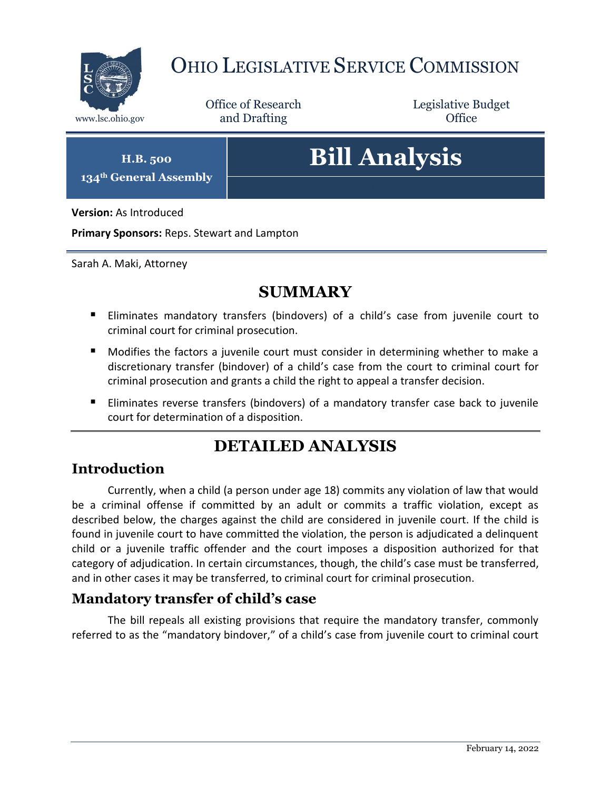

## OHIO LEGISLATIVE SERVICE COMMISSION

Office of Research www.lsc.ohio.gov **and Drafting Office** 

Legislative Budget

**H.B. 500 134th General Assembly**

# **Bill Analysis**

**Version:** As Introduced

**Primary Sponsors:** Reps. Stewart and Lampton

Sarah A. Maki, Attorney

## **SUMMARY**

- Eliminates mandatory transfers (bindovers) of a child's case from juvenile court to criminal court for criminal prosecution.
- **Modifies the factors a juvenile court must consider in determining whether to make a** discretionary transfer (bindover) of a child's case from the court to criminal court for criminal prosecution and grants a child the right to appeal a transfer decision.
- Eliminates reverse transfers (bindovers) of a mandatory transfer case back to juvenile court for determination of a disposition.

## **DETAILED ANALYSIS**

#### **Introduction**

Currently, when a child (a person under age 18) commits any violation of law that would be a criminal offense if committed by an adult or commits a traffic violation, except as described below, the charges against the child are considered in juvenile court. If the child is found in juvenile court to have committed the violation, the person is adjudicated a delinquent child or a juvenile traffic offender and the court imposes a disposition authorized for that category of adjudication. In certain circumstances, though, the child's case must be transferred, and in other cases it may be transferred, to criminal court for criminal prosecution.

#### **Mandatory transfer of child's case**

The bill repeals all existing provisions that require the mandatory transfer, commonly referred to as the "mandatory bindover," of a child's case from juvenile court to criminal court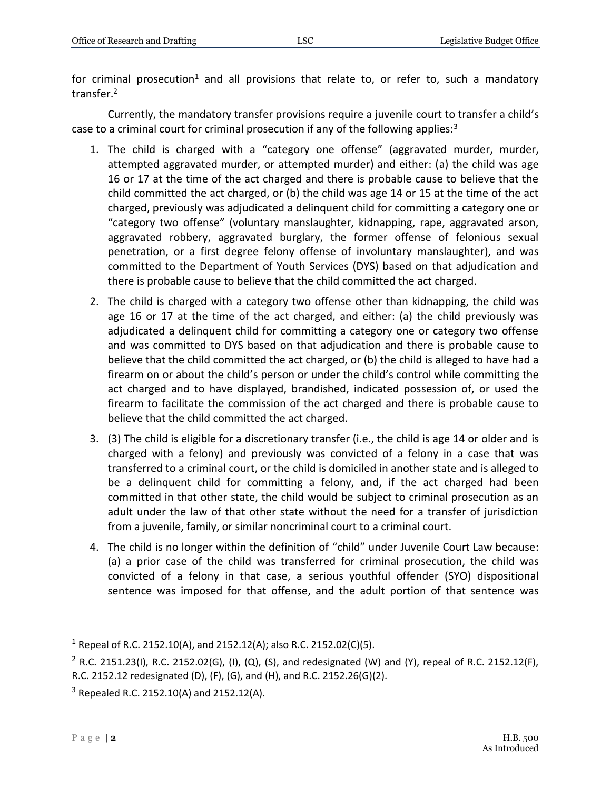for criminal prosecution<sup>1</sup> and all provisions that relate to, or refer to, such a mandatory transfer.<sup>2</sup>

Currently, the mandatory transfer provisions require a juvenile court to transfer a child's case to a criminal court for criminal prosecution if any of the following applies: $3$ 

- 1. The child is charged with a "category one offense" (aggravated murder, murder, attempted aggravated murder, or attempted murder) and either: (a) the child was age 16 or 17 at the time of the act charged and there is probable cause to believe that the child committed the act charged, or (b) the child was age 14 or 15 at the time of the act charged, previously was adjudicated a delinquent child for committing a category one or "category two offense" (voluntary manslaughter, kidnapping, rape, aggravated arson, aggravated robbery, aggravated burglary, the former offense of felonious sexual penetration, or a first degree felony offense of involuntary manslaughter), and was committed to the Department of Youth Services (DYS) based on that adjudication and there is probable cause to believe that the child committed the act charged.
- 2. The child is charged with a category two offense other than kidnapping, the child was age 16 or 17 at the time of the act charged, and either: (a) the child previously was adjudicated a delinquent child for committing a category one or category two offense and was committed to DYS based on that adjudication and there is probable cause to believe that the child committed the act charged, or (b) the child is alleged to have had a firearm on or about the child's person or under the child's control while committing the act charged and to have displayed, brandished, indicated possession of, or used the firearm to facilitate the commission of the act charged and there is probable cause to believe that the child committed the act charged.
- 3. (3) The child is eligible for a discretionary transfer (i.e., the child is age 14 or older and is charged with a felony) and previously was convicted of a felony in a case that was transferred to a criminal court, or the child is domiciled in another state and is alleged to be a delinquent child for committing a felony, and, if the act charged had been committed in that other state, the child would be subject to criminal prosecution as an adult under the law of that other state without the need for a transfer of jurisdiction from a juvenile, family, or similar noncriminal court to a criminal court.
- 4. The child is no longer within the definition of "child" under Juvenile Court Law because: (a) a prior case of the child was transferred for criminal prosecution, the child was convicted of a felony in that case, a serious youthful offender (SYO) dispositional sentence was imposed for that offense, and the adult portion of that sentence was

<sup>&</sup>lt;sup>1</sup> Repeal of R.C. 2152.10(A), and 2152.12(A); also R.C. 2152.02(C)(5).

<sup>&</sup>lt;sup>2</sup> R.C. 2151.23(I), R.C. 2152.02(G), (I), (Q), (S), and redesignated (W) and (Y), repeal of R.C. 2152.12(F), R.C. 2152.12 redesignated (D), (F), (G), and (H), and R.C. 2152.26(G)(2).

 $3$  Repealed R.C. 2152.10(A) and 2152.12(A).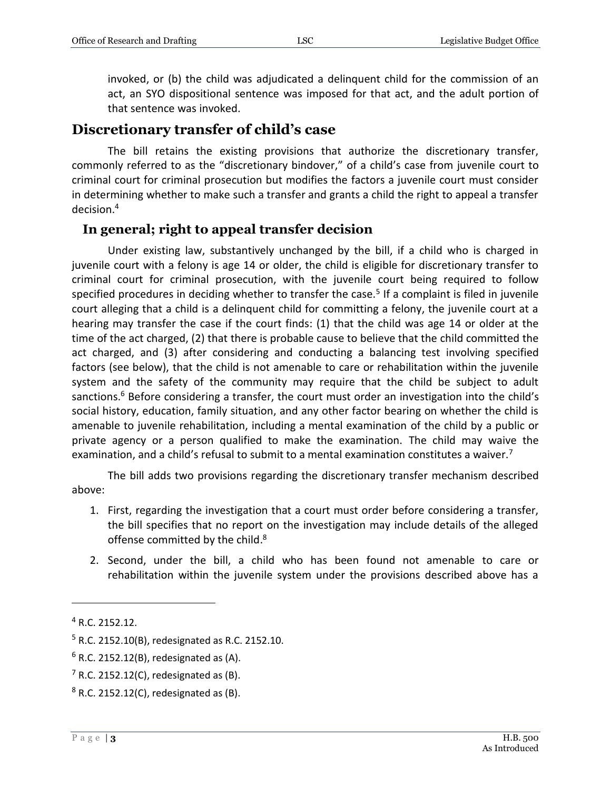invoked, or (b) the child was adjudicated a delinquent child for the commission of an act, an SYO dispositional sentence was imposed for that act, and the adult portion of that sentence was invoked.

#### **Discretionary transfer of child's case**

The bill retains the existing provisions that authorize the discretionary transfer, commonly referred to as the "discretionary bindover," of a child's case from juvenile court to criminal court for criminal prosecution but modifies the factors a juvenile court must consider in determining whether to make such a transfer and grants a child the right to appeal a transfer decision.<sup>4</sup>

#### **In general; right to appeal transfer decision**

Under existing law, substantively unchanged by the bill, if a child who is charged in juvenile court with a felony is age 14 or older, the child is eligible for discretionary transfer to criminal court for criminal prosecution, with the juvenile court being required to follow specified procedures in deciding whether to transfer the case.<sup>5</sup> If a complaint is filed in juvenile court alleging that a child is a delinquent child for committing a felony, the juvenile court at a hearing may transfer the case if the court finds: (1) that the child was age 14 or older at the time of the act charged, (2) that there is probable cause to believe that the child committed the act charged, and (3) after considering and conducting a balancing test involving specified factors (see below), that the child is not amenable to care or rehabilitation within the juvenile system and the safety of the community may require that the child be subject to adult sanctions. <sup>6</sup> Before considering a transfer, the court must order an investigation into the child's social history, education, family situation, and any other factor bearing on whether the child is amenable to juvenile rehabilitation, including a mental examination of the child by a public or private agency or a person qualified to make the examination. The child may waive the examination, and a child's refusal to submit to a mental examination constitutes a waiver.<sup>7</sup>

The bill adds two provisions regarding the discretionary transfer mechanism described above:

- 1. First, regarding the investigation that a court must order before considering a transfer, the bill specifies that no report on the investigation may include details of the alleged offense committed by the child.<sup>8</sup>
- 2. Second, under the bill, a child who has been found not amenable to care or rehabilitation within the juvenile system under the provisions described above has a

<sup>4</sup> R.C. 2152.12.

<sup>5</sup> R.C. 2152.10(B), redesignated as R.C. 2152.10.

 $6$  R.C. 2152.12(B), redesignated as (A).

 $<sup>7</sup>$  R.C. 2152.12(C), redesignated as (B).</sup>

 $8$  R.C. 2152.12(C), redesignated as (B).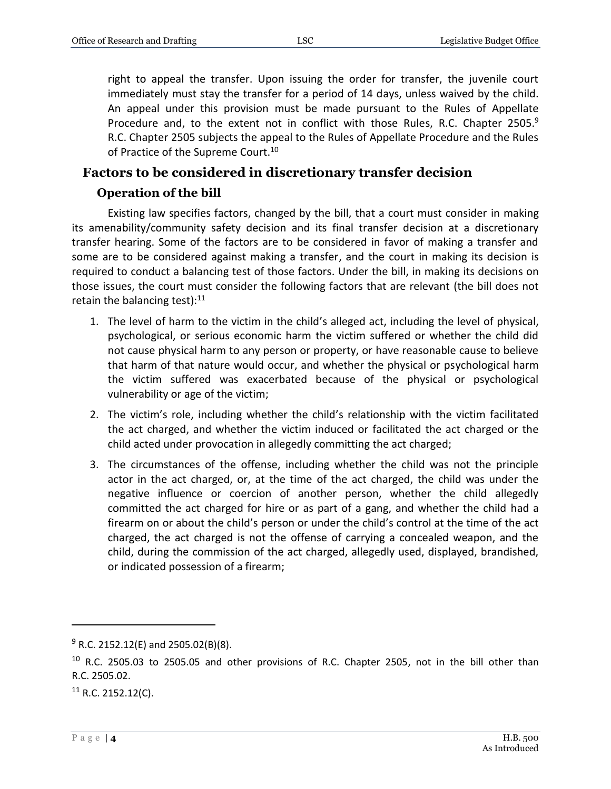right to appeal the transfer. Upon issuing the order for transfer, the juvenile court immediately must stay the transfer for a period of 14 days, unless waived by the child. An appeal under this provision must be made pursuant to the Rules of Appellate Procedure and, to the extent not in conflict with those Rules, R.C. Chapter 2505. $9$ R.C. Chapter 2505 subjects the appeal to the Rules of Appellate Procedure and the Rules of Practice of the Supreme Court.<sup>10</sup>

#### **Factors to be considered in discretionary transfer decision**

#### **Operation of the bill**

Existing law specifies factors, changed by the bill, that a court must consider in making its amenability/community safety decision and its final transfer decision at a discretionary transfer hearing. Some of the factors are to be considered in favor of making a transfer and some are to be considered against making a transfer, and the court in making its decision is required to conduct a balancing test of those factors. Under the bill, in making its decisions on those issues, the court must consider the following factors that are relevant (the bill does not retain the balancing test):<sup>11</sup>

- 1. The level of harm to the victim in the child's alleged act, including the level of physical, psychological, or serious economic harm the victim suffered or whether the child did not cause physical harm to any person or property, or have reasonable cause to believe that harm of that nature would occur, and whether the physical or psychological harm the victim suffered was exacerbated because of the physical or psychological vulnerability or age of the victim;
- 2. The victim's role, including whether the child's relationship with the victim facilitated the act charged, and whether the victim induced or facilitated the act charged or the child acted under provocation in allegedly committing the act charged;
- 3. The circumstances of the offense, including whether the child was not the principle actor in the act charged, or, at the time of the act charged, the child was under the negative influence or coercion of another person, whether the child allegedly committed the act charged for hire or as part of a gang, and whether the child had a firearm on or about the child's person or under the child's control at the time of the act charged, the act charged is not the offense of carrying a concealed weapon, and the child, during the commission of the act charged, allegedly used, displayed, brandished, or indicated possession of a firearm;

 $9$  R.C. 2152.12(E) and 2505.02(B)(8).

 $10$  R.C. 2505.03 to 2505.05 and other provisions of R.C. Chapter 2505, not in the bill other than R.C. 2505.02.

 $11$  R.C. 2152.12(C).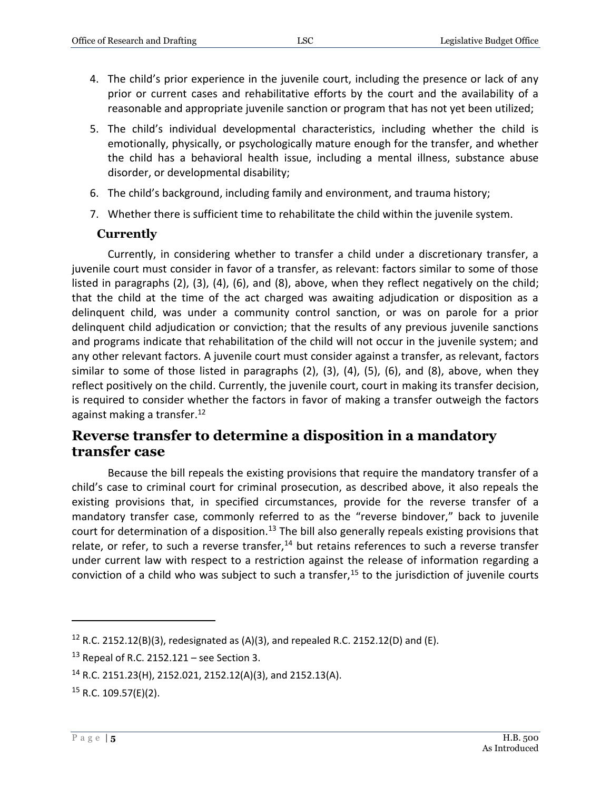- 4. The child's prior experience in the juvenile court, including the presence or lack of any prior or current cases and rehabilitative efforts by the court and the availability of a reasonable and appropriate juvenile sanction or program that has not yet been utilized;
- 5. The child's individual developmental characteristics, including whether the child is emotionally, physically, or psychologically mature enough for the transfer, and whether the child has a behavioral health issue, including a mental illness, substance abuse disorder, or developmental disability;
- 6. The child's background, including family and environment, and trauma history;
- 7. Whether there is sufficient time to rehabilitate the child within the juvenile system.

#### **Currently**

Currently, in considering whether to transfer a child under a discretionary transfer, a juvenile court must consider in favor of a transfer, as relevant: factors similar to some of those listed in paragraphs (2), (3), (4), (6), and (8), above, when they reflect negatively on the child; that the child at the time of the act charged was awaiting adjudication or disposition as a delinquent child, was under a community control sanction, or was on parole for a prior delinquent child adjudication or conviction; that the results of any previous juvenile sanctions and programs indicate that rehabilitation of the child will not occur in the juvenile system; and any other relevant factors. A juvenile court must consider against a transfer, as relevant, factors similar to some of those listed in paragraphs (2), (3), (4), (5), (6), and (8), above, when they reflect positively on the child. Currently, the juvenile court, court in making its transfer decision, is required to consider whether the factors in favor of making a transfer outweigh the factors against making a transfer. 12

#### **Reverse transfer to determine a disposition in a mandatory transfer case**

Because the bill repeals the existing provisions that require the mandatory transfer of a child's case to criminal court for criminal prosecution, as described above, it also repeals the existing provisions that, in specified circumstances, provide for the reverse transfer of a mandatory transfer case, commonly referred to as the "reverse bindover," back to juvenile court for determination of a disposition.<sup>13</sup> The bill also generally repeals existing provisions that relate, or refer, to such a reverse transfer, $14$  but retains references to such a reverse transfer under current law with respect to a restriction against the release of information regarding a conviction of a child who was subject to such a transfer, $15$  to the jurisdiction of juvenile courts

<sup>&</sup>lt;sup>12</sup> R.C. 2152.12(B)(3), redesignated as (A)(3), and repealed R.C. 2152.12(D) and (E).

 $13$  Repeal of R.C. 2152.121 – see Section 3.

<sup>14</sup> R.C. 2151.23(H), 2152.021, 2152.12(A)(3), and 2152.13(A).

 $15$  R.C. 109.57(E)(2).